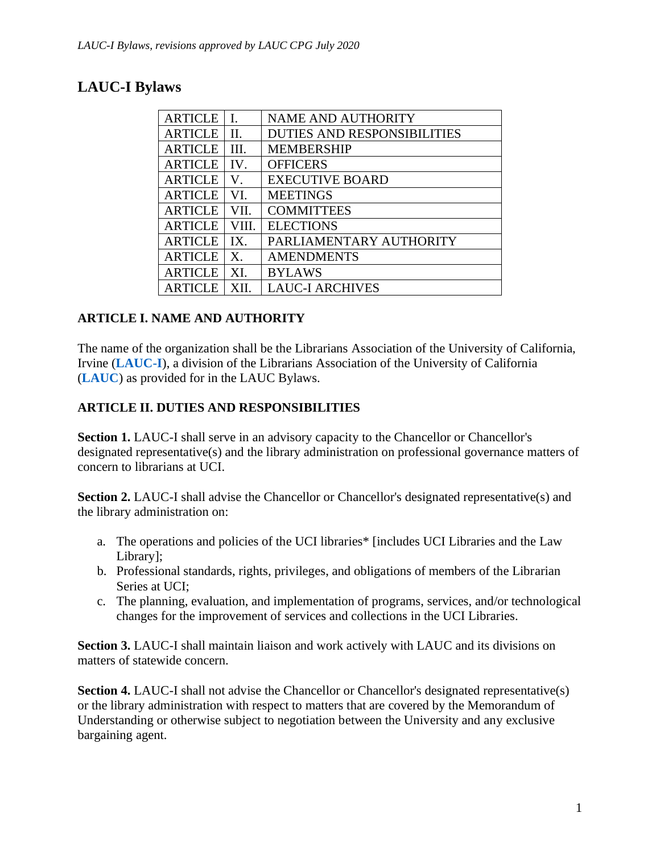# **LAUC-I Bylaws**

| I.      | <b>NAME AND AUTHORITY</b>          |
|---------|------------------------------------|
| $\Pi$ . | <b>DUTIES AND RESPONSIBILITIES</b> |
| III.    | <b>MEMBERSHIP</b>                  |
| IV.     | <b>OFFICERS</b>                    |
| V.      | <b>EXECUTIVE BOARD</b>             |
| VI.     | <b>MEETINGS</b>                    |
| VII.    | <b>COMMITTEES</b>                  |
| VIII.   | <b>ELECTIONS</b>                   |
| IX.     | PARLIAMENTARY AUTHORITY            |
| X.      | <b>AMENDMENTS</b>                  |
| XI.     | <b>BYLAWS</b>                      |
| XН      | <b>LAUC-I ARCHIVES</b>             |
|         |                                    |

### **ARTICLE I. NAME AND AUTHORITY**

The name of the organization shall be the Librarians Association of the University of California, Irvine (**[LAUC-I](https://lauci.lib.uci.edu/)**), a division of the Librarians Association of the University of California (**[LAUC](https://lauc.ucop.edu/)**) as provided for in the LAUC Bylaws.

## **ARTICLE II. DUTIES AND RESPONSIBILITIES**

**Section 1.** LAUC-I shall serve in an advisory capacity to the Chancellor or Chancellor's designated representative(s) and the library administration on professional governance matters of concern to librarians at UCI.

**Section 2.** LAUC-I shall advise the Chancellor or Chancellor's designated representative(s) and the library administration on:

- a. The operations and policies of the UCI libraries\* [includes UCI Libraries and the Law Library];
- b. Professional standards, rights, privileges, and obligations of members of the Librarian Series at UCI;
- c. The planning, evaluation, and implementation of programs, services, and/or technological changes for the improvement of services and collections in the UCI Libraries.

**Section 3.** LAUC-I shall maintain liaison and work actively with LAUC and its divisions on matters of statewide concern.

**Section 4.** LAUC-I shall not advise the Chancellor or Chancellor's designated representative(s) or the library administration with respect to matters that are covered by the Memorandum of Understanding or otherwise subject to negotiation between the University and any exclusive bargaining agent.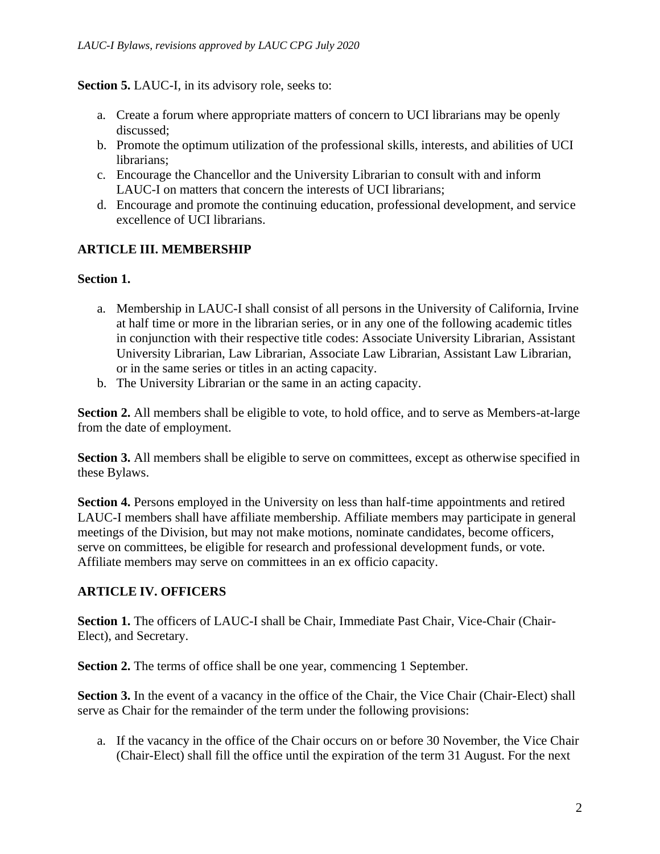#### **Section 5.** LAUC-I, in its advisory role, seeks to:

- a. Create a forum where appropriate matters of concern to UCI librarians may be openly discussed;
- b. Promote the optimum utilization of the professional skills, interests, and abilities of UCI librarians;
- c. Encourage the Chancellor and the University Librarian to consult with and inform LAUC-I on matters that concern the interests of UCI librarians;
- <span id="page-1-0"></span>d. Encourage and promote the continuing education, professional development, and service excellence of UCI librarians.

## **ARTICLE III. MEMBERSHIP**

#### **Section 1.**

- a. Membership in LAUC-I shall consist of all persons in the University of California, Irvine at half time or more in the librarian series, or in any one of the following academic titles in conjunction with their respective title codes: Associate University Librarian, Assistant University Librarian, Law Librarian, Associate Law Librarian, Assistant Law Librarian, or in the same series or titles in an acting capacity.
- b. The University Librarian or the same in an acting capacity.

**Section 2.** All members shall be eligible to vote, to hold office, and to serve as Members-at-large from the date of employment.

**Section 3.** All members shall be eligible to serve on committees, except as otherwise specified in these Bylaws.

**Section 4.** Persons employed in the University on less than half-time appointments and retired LAUC-I members shall have affiliate membership. Affiliate members may participate in general meetings of the Division, but may not make motions, nominate candidates, become officers, serve on committees, be eligible for research and professional development funds, or vote. Affiliate members may serve on committees in an ex officio capacity.

### **ARTICLE IV. OFFICERS**

**Section 1.** The officers of LAUC-I shall be Chair, Immediate Past Chair, Vice-Chair (Chair-Elect), and Secretary.

**Section 2.** The terms of office shall be one year, commencing 1 September.

**Section 3.** In the event of a vacancy in the office of the Chair, the Vice Chair (Chair-Elect) shall serve as Chair for the remainder of the term under the following provisions:

a. If the vacancy in the office of the Chair occurs on or before 30 November, the Vice Chair (Chair-Elect) shall fill the office until the expiration of the term 31 August. For the next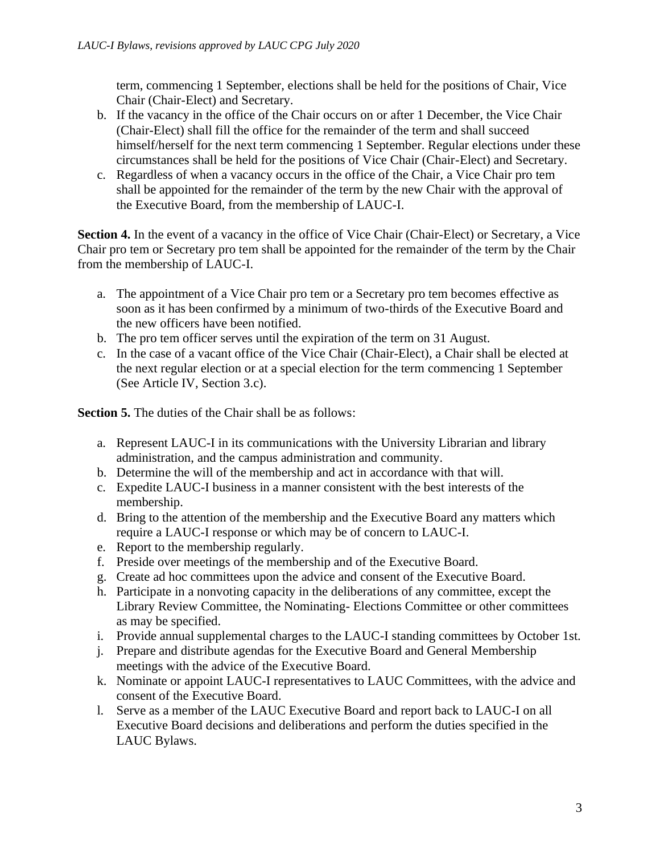term, commencing 1 September, elections shall be held for the positions of Chair, Vice Chair (Chair-Elect) and Secretary.

- b. If the vacancy in the office of the Chair occurs on or after 1 December, the Vice Chair (Chair-Elect) shall fill the office for the remainder of the term and shall succeed himself/herself for the next term commencing 1 September. Regular elections under these circumstances shall be held for the positions of Vice Chair (Chair-Elect) and Secretary.
- c. Regardless of when a vacancy occurs in the office of the Chair, a Vice Chair pro tem shall be appointed for the remainder of the term by the new Chair with the approval of the Executive Board, from the membership of LAUC-I.

**Section 4.** In the event of a vacancy in the office of Vice Chair (Chair-Elect) or Secretary, a Vice Chair pro tem or Secretary pro tem shall be appointed for the remainder of the term by the Chair from the membership of LAUC-I.

- a. The appointment of a Vice Chair pro tem or a Secretary pro tem becomes effective as soon as it has been confirmed by a minimum of two-thirds of the Executive Board and the new officers have been notified.
- b. The pro tem officer serves until the expiration of the term on 31 August.
- c. In the case of a vacant office of the Vice Chair (Chair-Elect), a Chair shall be elected at the next regular election or at a special election for the term commencing 1 September (See Article IV, Section 3.c).

**Section 5.** The duties of the Chair shall be as follows:

- a. Represent LAUC-I in its communications with the University Librarian and library administration, and the campus administration and community.
- b. Determine the will of the membership and act in accordance with that will.
- c. Expedite LAUC-I business in a manner consistent with the best interests of the membership.
- d. Bring to the attention of the membership and the Executive Board any matters which require a LAUC-I response or which may be of concern to LAUC-I.
- e. Report to the membership regularly.
- f. Preside over meetings of the membership and of the Executive Board.
- g. Create ad hoc committees upon the advice and consent of the Executive Board.
- h. Participate in a nonvoting capacity in the deliberations of any committee, except the Library Review Committee, the Nominating- Elections Committee or other committees as may be specified.
- i. Provide annual supplemental charges to the LAUC-I standing committees by October 1st.
- j. Prepare and distribute agendas for the Executive Board and General Membership meetings with the advice of the Executive Board.
- k. Nominate or appoint LAUC-I representatives to LAUC Committees, with the advice and consent of the Executive Board.
- l. Serve as a member of the LAUC Executive Board and report back to LAUC-I on all Executive Board decisions and deliberations and perform the duties specified in the LAUC Bylaws.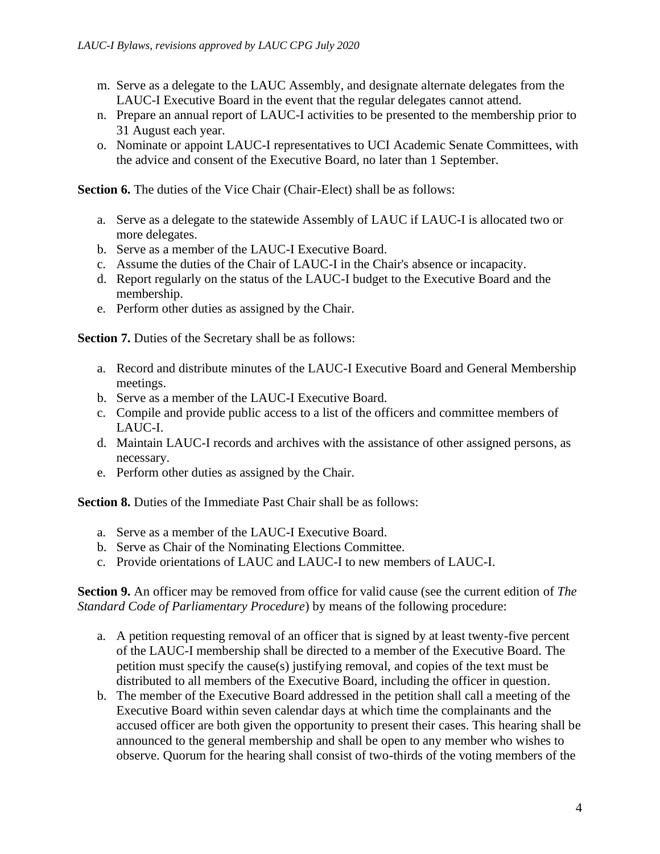- m. Serve as a delegate to the LAUC Assembly, and designate alternate delegates from the LAUC-I Executive Board in the event that the regular delegates cannot attend.
- n. Prepare an annual report of LAUC-I activities to be presented to the membership prior to 31 August each year.
- o. Nominate or appoint LAUC-I representatives to UCI Academic Senate Committees, with the advice and consent of the Executive Board, no later than 1 September.

**Section 6.** The duties of the Vice Chair (Chair-Elect) shall be as follows:

- a. Serve as a delegate to the statewide Assembly of LAUC if LAUC-I is allocated two or more delegates.
- b. Serve as a member of the LAUC-I Executive Board.
- c. Assume the duties of the Chair of LAUC-I in the Chair's absence or incapacity.
- d. Report regularly on the status of the LAUC-I budget to the Executive Board and the membership.
- e. Perform other duties as assigned by the Chair.

**Section 7.** Duties of the Secretary shall be as follows:

- a. Record and distribute minutes of the LAUC-I Executive Board and General Membership meetings.
- b. Serve as a member of the LAUC-I Executive Board.
- c. Compile and provide public access to a list of the officers and committee members of LAUC-I.
- d. Maintain LAUC-I records and archives with the assistance of other assigned persons, as necessary.
- e. Perform other duties as assigned by the Chair.

**Section 8.** Duties of the Immediate Past Chair shall be as follows:

- a. Serve as a member of the LAUC-I Executive Board.
- b. Serve as Chair of the Nominating Elections Committee.
- c. Provide orientations of LAUC and LAUC-I to new members of LAUC-I.

**Section 9.** An officer may be removed from office for valid cause (see the current edition of *The Standard Code of Parliamentary Procedure*) by means of the following procedure:

- a. A petition requesting removal of an officer that is signed by at least twenty-five percent of the LAUC-I membership shall be directed to a member of the Executive Board. The petition must specify the cause(s) justifying removal, and copies of the text must be distributed to all members of the Executive Board, including the officer in question.
- b. The member of the Executive Board addressed in the petition shall call a meeting of the Executive Board within seven calendar days at which time the complainants and the accused officer are both given the opportunity to present their cases. This hearing shall be announced to the general membership and shall be open to any member who wishes to observe. Quorum for the hearing shall consist of two-thirds of the voting members of the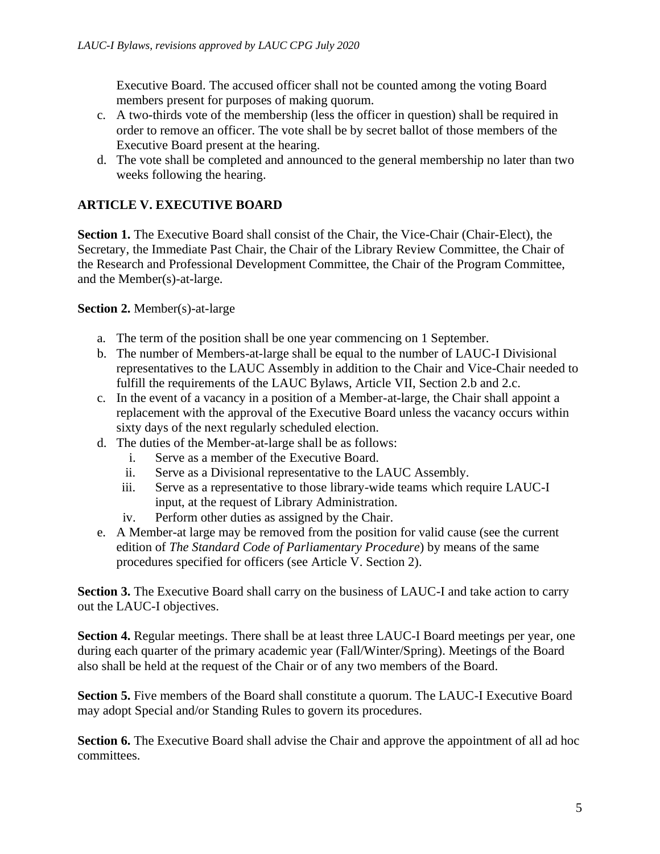Executive Board. The accused officer shall not be counted among the voting Board members present for purposes of making quorum.

- c. A two-thirds vote of the membership (less the officer in question) shall be required in order to remove an officer. The vote shall be by secret ballot of those members of the Executive Board present at the hearing.
- d. The vote shall be completed and announced to the general membership no later than two weeks following the hearing.

# **ARTICLE V. EXECUTIVE BOARD**

**Section 1.** The Executive Board shall consist of the Chair, the Vice-Chair (Chair-Elect), the Secretary, the Immediate Past Chair, the Chair of the Library Review Committee, the Chair of the Research and Professional Development Committee, the Chair of the Program Committee, and the Member(s)-at-large.

#### **Section 2.** Member(s)-at-large

- a. The term of the position shall be one year commencing on 1 September.
- b. The number of Members-at-large shall be equal to the number of LAUC-I Divisional representatives to the LAUC Assembly in addition to the Chair and Vice-Chair needed to fulfill the requirements of the LAUC Bylaws, Article VII, Section 2.b and 2.c.
- c. In the event of a vacancy in a position of a Member-at-large, the Chair shall appoint a replacement with the approval of the Executive Board unless the vacancy occurs within sixty days of the next regularly scheduled election.
- d. The duties of the Member-at-large shall be as follows:
	- i. Serve as a member of the Executive Board.
	- ii. Serve as a Divisional representative to the LAUC Assembly.
	- iii. Serve as a representative to those library-wide teams which require LAUC-I input, at the request of Library Administration.
	- iv. Perform other duties as assigned by the Chair.
- e. A Member-at large may be removed from the position for valid cause (see the current edition of *The Standard Code of Parliamentary Procedure*) by means of the same procedures specified for officers (see Article V. Section 2).

**Section 3.** The Executive Board shall carry on the business of LAUC-I and take action to carry out the LAUC-I objectives.

**Section 4.** Regular meetings. There shall be at least three LAUC-I Board meetings per year, one during each quarter of the primary academic year (Fall/Winter/Spring). Meetings of the Board also shall be held at the request of the Chair or of any two members of the Board.

**Section 5.** Five members of the Board shall constitute a quorum. The LAUC-I Executive Board may adopt Special and/or Standing Rules to govern its procedures.

**Section 6.** The Executive Board shall advise the Chair and approve the appointment of all ad hoc committees.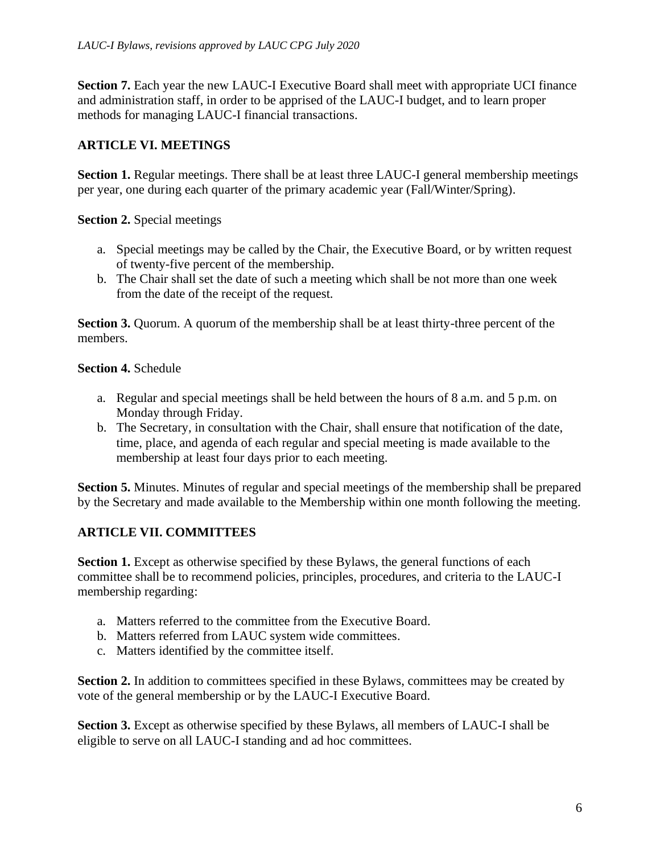**Section 7.** Each year the new LAUC-I Executive Board shall meet with appropriate UCI finance and administration staff, in order to be apprised of the LAUC-I budget, and to learn proper methods for managing LAUC-I financial transactions.

## **ARTICLE VI. MEETINGS**

**Section 1.** Regular meetings. There shall be at least three LAUC-I general membership meetings per year, one during each quarter of the primary academic year (Fall/Winter/Spring).

**Section 2.** Special meetings

- a. Special meetings may be called by the Chair, the Executive Board, or by written request of twenty-five percent of the membership.
- b. The Chair shall set the date of such a meeting which shall be not more than one week from the date of the receipt of the request.

**Section 3.** Quorum. A quorum of the membership shall be at least thirty-three percent of the members.

#### **Section 4.** Schedule

- a. Regular and special meetings shall be held between the hours of 8 a.m. and 5 p.m. on Monday through Friday.
- b. The Secretary, in consultation with the Chair, shall ensure that notification of the date, time, place, and agenda of each regular and special meeting is made available to the membership at least four days prior to each meeting.

**Section 5.** Minutes. Minutes of regular and special meetings of the membership shall be prepared by the Secretary and made available to the Membership within one month following the meeting.

# **ARTICLE VII. COMMITTEES**

**Section 1.** Except as otherwise specified by these Bylaws, the general functions of each committee shall be to recommend policies, principles, procedures, and criteria to the LAUC-I membership regarding:

- a. Matters referred to the committee from the Executive Board.
- b. Matters referred from LAUC system wide committees.
- c. Matters identified by the committee itself.

**Section 2.** In addition to committees specified in these Bylaws, committees may be created by vote of the general membership or by the LAUC-I Executive Board.

**Section 3.** Except as otherwise specified by these Bylaws, all members of LAUC-I shall be eligible to serve on all LAUC-I standing and ad hoc committees.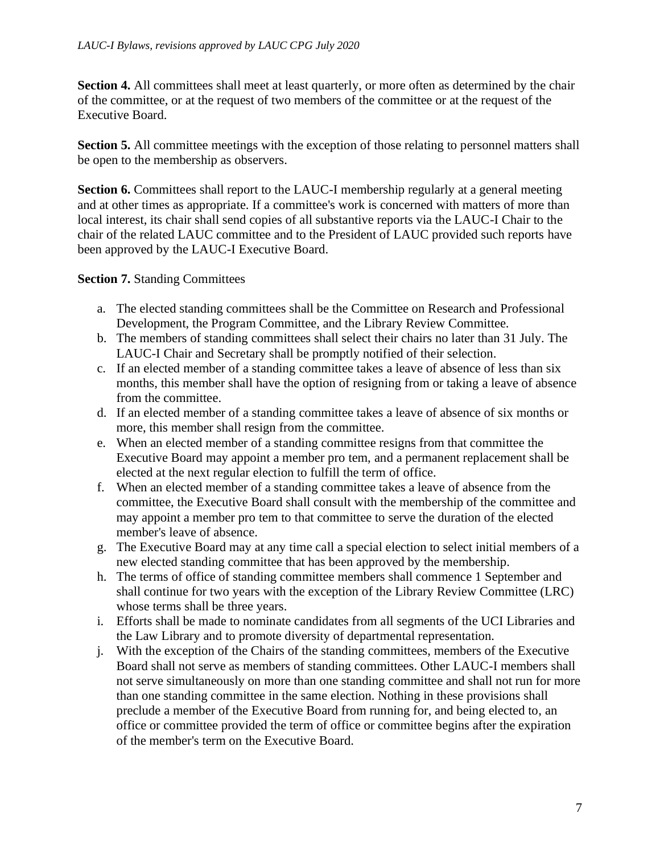**Section 4.** All committees shall meet at least quarterly, or more often as determined by the chair of the committee, or at the request of two members of the committee or at the request of the Executive Board.

**Section 5.** All committee meetings with the exception of those relating to personnel matters shall be open to the membership as observers.

**Section 6.** Committees shall report to the LAUC-I membership regularly at a general meeting and at other times as appropriate. If a committee's work is concerned with matters of more than local interest, its chair shall send copies of all substantive reports via the LAUC-I Chair to the chair of the related LAUC committee and to the President of LAUC provided such reports have been approved by the LAUC-I Executive Board.

**Section 7.** Standing Committees

- a. The elected standing committees shall be the Committee on Research and Professional Development, the Program Committee, and the Library Review Committee.
- b. The members of standing committees shall select their chairs no later than 31 July. The LAUC-I Chair and Secretary shall be promptly notified of their selection.
- c. If an elected member of a standing committee takes a leave of absence of less than six months, this member shall have the option of resigning from or taking a leave of absence from the committee.
- d. If an elected member of a standing committee takes a leave of absence of six months or more, this member shall resign from the committee.
- e. When an elected member of a standing committee resigns from that committee the Executive Board may appoint a member pro tem, and a permanent replacement shall be elected at the next regular election to fulfill the term of office.
- f. When an elected member of a standing committee takes a leave of absence from the committee, the Executive Board shall consult with the membership of the committee and may appoint a member pro tem to that committee to serve the duration of the elected member's leave of absence.
- g. The Executive Board may at any time call a special election to select initial members of a new elected standing committee that has been approved by the membership.
- h. The terms of office of standing committee members shall commence 1 September and shall continue for two years with the exception of the Library Review Committee (LRC) whose terms shall be three years.
- i. Efforts shall be made to nominate candidates from all segments of the UCI Libraries and the Law Library and to promote diversity of departmental representation.
- j. With the exception of the Chairs of the standing committees, members of the Executive Board shall not serve as members of standing committees. Other LAUC-I members shall not serve simultaneously on more than one standing committee and shall not run for more than one standing committee in the same election. Nothing in these provisions shall preclude a member of the Executive Board from running for, and being elected to, an office or committee provided the term of office or committee begins after the expiration of the member's term on the Executive Board.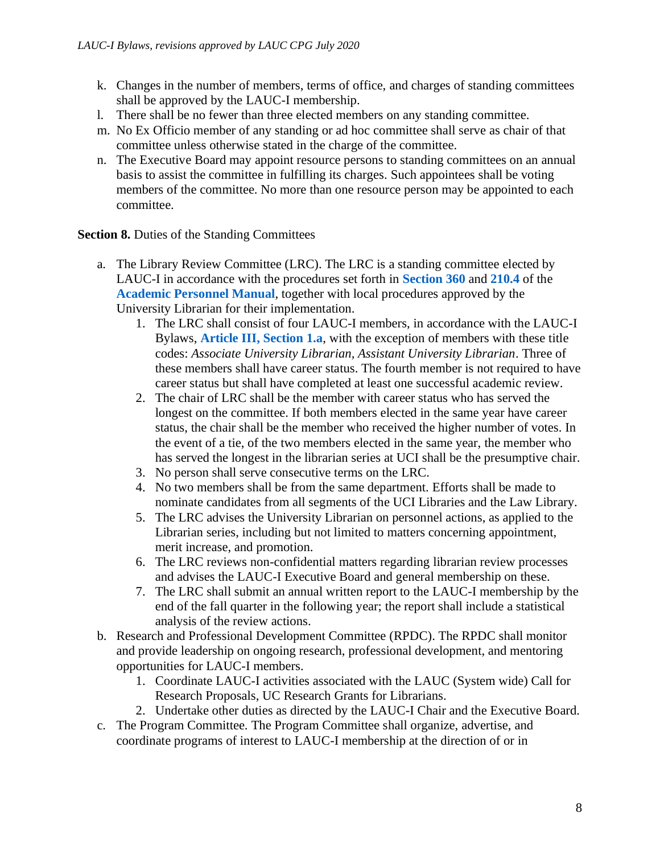- k. Changes in the number of members, terms of office, and charges of standing committees shall be approved by the LAUC-I membership.
- l. There shall be no fewer than three elected members on any standing committee.
- m. No Ex Officio member of any standing or ad hoc committee shall serve as chair of that committee unless otherwise stated in the charge of the committee.
- n. The Executive Board may appoint resource persons to standing committees on an annual basis to assist the committee in fulfilling its charges. Such appointees shall be voting members of the committee. No more than one resource person may be appointed to each committee.

**Section 8.** Duties of the Standing Committees

- a. The Library Review Committee (LRC). The LRC is a standing committee elected by LAUC-I in accordance with the procedures set forth in **[Section 360](https://www.ucop.edu/academic-personnel-programs/_files/apm/apm-360.pdf)** and **[210.4](https://ucop.edu/academic-personnel-programs/_files/apm/apm-210.pdf)** of the **[Academic Personnel Manual](https://www.ucop.edu/academic-personnel-programs/academic-personnel-policy/index.html)**, together with local procedures approved by the University Librarian for their implementation.
	- 1. The LRC shall consist of four LAUC-I members, in accordance with the LAUC-I Bylaws, **[Article III, Section 1.a](#page-1-0)**, with the exception of members with these title codes: *Associate University Librarian, Assistant University Librarian*. Three of these members shall have career status. The fourth member is not required to have career status but shall have completed at least one successful academic review.
	- 2. The chair of LRC shall be the member with career status who has served the longest on the committee. If both members elected in the same year have career status, the chair shall be the member who received the higher number of votes. In the event of a tie, of the two members elected in the same year, the member who has served the longest in the librarian series at UCI shall be the presumptive chair.
	- 3. No person shall serve consecutive terms on the LRC.
	- 4. No two members shall be from the same department. Efforts shall be made to nominate candidates from all segments of the UCI Libraries and the Law Library.
	- 5. The LRC advises the University Librarian on personnel actions, as applied to the Librarian series, including but not limited to matters concerning appointment, merit increase, and promotion.
	- 6. The LRC reviews non-confidential matters regarding librarian review processes and advises the LAUC-I Executive Board and general membership on these.
	- 7. The LRC shall submit an annual written report to the LAUC-I membership by the end of the fall quarter in the following year; the report shall include a statistical analysis of the review actions.
- b. Research and Professional Development Committee (RPDC). The RPDC shall monitor and provide leadership on ongoing research, professional development, and mentoring opportunities for LAUC-I members.
	- 1. Coordinate LAUC-I activities associated with the LAUC (System wide) Call for Research Proposals, UC Research Grants for Librarians.
	- 2. Undertake other duties as directed by the LAUC-I Chair and the Executive Board.
- c. The Program Committee. The Program Committee shall organize, advertise, and coordinate programs of interest to LAUC-I membership at the direction of or in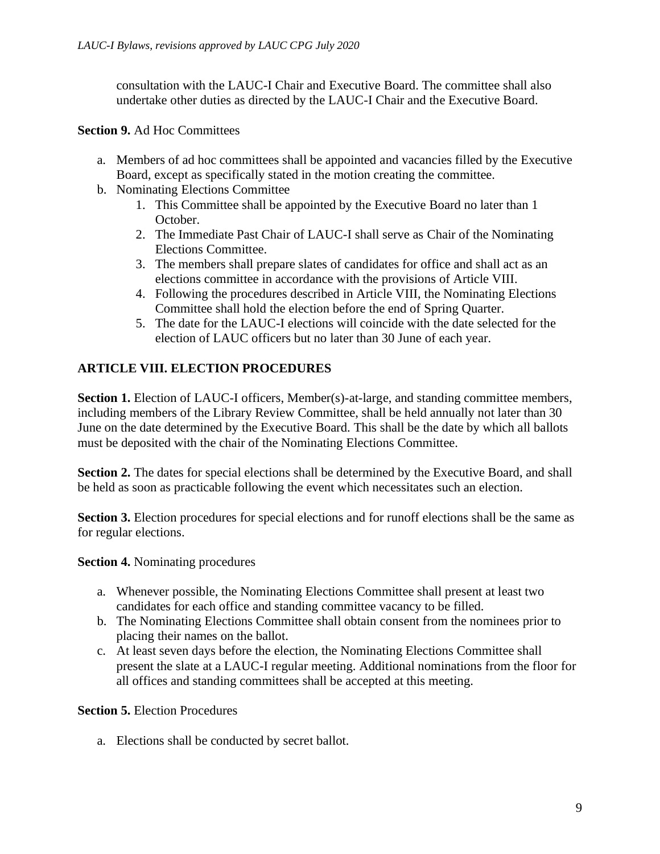consultation with the LAUC-I Chair and Executive Board. The committee shall also undertake other duties as directed by the LAUC-I Chair and the Executive Board.

#### **Section 9.** Ad Hoc Committees

- a. Members of ad hoc committees shall be appointed and vacancies filled by the Executive Board, except as specifically stated in the motion creating the committee.
- b. Nominating Elections Committee
	- 1. This Committee shall be appointed by the Executive Board no later than 1 October.
	- 2. The Immediate Past Chair of LAUC-I shall serve as Chair of the Nominating Elections Committee.
	- 3. The members shall prepare slates of candidates for office and shall act as an elections committee in accordance with the provisions of Article VIII.
	- 4. Following the procedures described in Article VIII, the Nominating Elections Committee shall hold the election before the end of Spring Quarter.
	- 5. The date for the LAUC-I elections will coincide with the date selected for the election of LAUC officers but no later than 30 June of each year.

# **ARTICLE VIII. ELECTION PROCEDURES**

**Section 1.** Election of LAUC-I officers, Member(s)-at-large, and standing committee members, including members of the Library Review Committee, shall be held annually not later than 30 June on the date determined by the Executive Board. This shall be the date by which all ballots must be deposited with the chair of the Nominating Elections Committee.

**Section 2.** The dates for special elections shall be determined by the Executive Board, and shall be held as soon as practicable following the event which necessitates such an election.

**Section 3.** Election procedures for special elections and for runoff elections shall be the same as for regular elections.

**Section 4.** Nominating procedures

- a. Whenever possible, the Nominating Elections Committee shall present at least two candidates for each office and standing committee vacancy to be filled.
- b. The Nominating Elections Committee shall obtain consent from the nominees prior to placing their names on the ballot.
- c. At least seven days before the election, the Nominating Elections Committee shall present the slate at a LAUC-I regular meeting. Additional nominations from the floor for all offices and standing committees shall be accepted at this meeting.

**Section 5.** Election Procedures

a. Elections shall be conducted by secret ballot.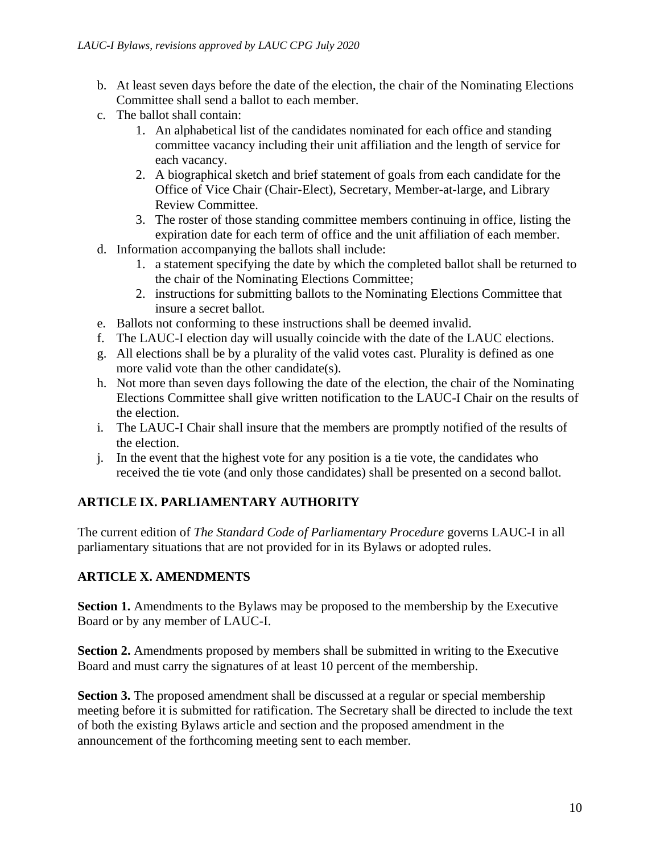- b. At least seven days before the date of the election, the chair of the Nominating Elections Committee shall send a ballot to each member.
- c. The ballot shall contain:
	- 1. An alphabetical list of the candidates nominated for each office and standing committee vacancy including their unit affiliation and the length of service for each vacancy.
	- 2. A biographical sketch and brief statement of goals from each candidate for the Office of Vice Chair (Chair-Elect), Secretary, Member-at-large, and Library Review Committee.
	- 3. The roster of those standing committee members continuing in office, listing the expiration date for each term of office and the unit affiliation of each member.
- d. Information accompanying the ballots shall include:
	- 1. a statement specifying the date by which the completed ballot shall be returned to the chair of the Nominating Elections Committee;
	- 2. instructions for submitting ballots to the Nominating Elections Committee that insure a secret ballot.
- e. Ballots not conforming to these instructions shall be deemed invalid.
- f. The LAUC-I election day will usually coincide with the date of the LAUC elections.
- g. All elections shall be by a plurality of the valid votes cast. Plurality is defined as one more valid vote than the other candidate(s).
- h. Not more than seven days following the date of the election, the chair of the Nominating Elections Committee shall give written notification to the LAUC-I Chair on the results of the election.
- i. The LAUC-I Chair shall insure that the members are promptly notified of the results of the election.
- j. In the event that the highest vote for any position is a tie vote, the candidates who received the tie vote (and only those candidates) shall be presented on a second ballot.

# **ARTICLE IX. PARLIAMENTARY AUTHORITY**

The current edition of *The Standard Code of Parliamentary Procedure* governs LAUC-I in all parliamentary situations that are not provided for in its Bylaws or adopted rules.

### **ARTICLE X. AMENDMENTS**

**Section 1.** Amendments to the Bylaws may be proposed to the membership by the Executive Board or by any member of LAUC-I.

**Section 2.** Amendments proposed by members shall be submitted in writing to the Executive Board and must carry the signatures of at least 10 percent of the membership.

**Section 3.** The proposed amendment shall be discussed at a regular or special membership meeting before it is submitted for ratification. The Secretary shall be directed to include the text of both the existing Bylaws article and section and the proposed amendment in the announcement of the forthcoming meeting sent to each member.